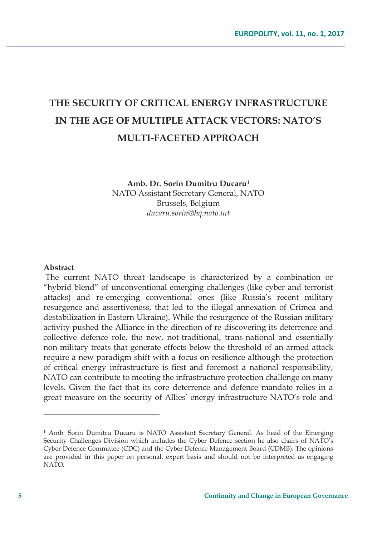# **THE SECURITY OF CRITICAL ENERGY INFRASTRUCTURE IN THE AGE OF MULTIPLE ATTACK VECTORS: NATO'S MULTI-FACETED APPROACH**

**Amb. Dr. Sorin Dumitru Ducaru1** NATO Assistant Secretary General, NATO Brussels, Belgium *ducaru.sorin@hq.nato.int*

#### **Abstract**

 The current NATO threat landscape is characterized by a combination or "hybrid blend" of unconventional emerging challenges (like cyber and terrorist attacks) and re-emerging conventional ones (like Russia's recent military resurgence and assertiveness, that led to the illegal annexation of Crimea and destabilization in Eastern Ukraine). While the resurgence of the Russian military activity pushed the Alliance in the direction of re-discovering its deterrence and collective defence role, the new, not-traditional, trans-national and essentially non-military treats that generate effects below the threshold of an armed attack require a new paradigm shift with a focus on resilience although the protection of critical energy infrastructure is first and foremost a national responsibility, NATO can contribute to meeting the infrastructure protection challenge on many levels. Given the fact that its core deterrence and defence mandate relies in a great measure on the security of Allies' energy infrastructure NATO's role and

<sup>&</sup>lt;sup>1</sup> Amb. Sorin Dumitru Ducaru is NATO Assistant Secretary General. As head of the Emerging Security Challenges Division which includes the Cyber Defence section he also chairs of NATO's Cyber Defence Committee (CDC) and the Cyber Defence Management Board (CDMB). The opinions are provided in this paper on personal, expert basis and should not be interpreted as engaging NATO.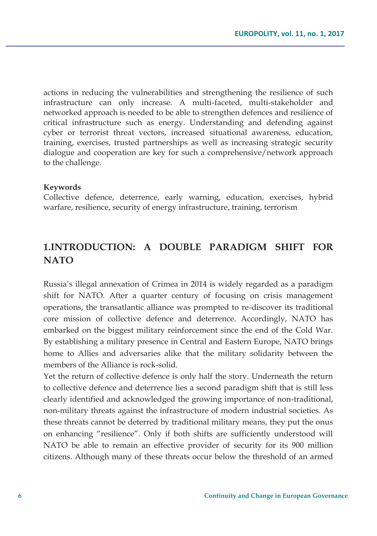actions in reducing the vulnerabilities and strengthening the resilience of such infrastructure can only increase. A multi-faceted, multi-stakeholder and networked approach is needed to be able to strengthen defences and resilience of critical infrastructure such as energy. Understanding and defending against cyber or terrorist threat vectors, increased situational awareness, education, training, exercises, trusted partnerships as well as increasing strategic security dialogue and cooperation are key for such a comprehensive/network approach to the challenge.

#### **Keywords**

Collective defence, deterrence, early warning, education, exercises, hybrid warfare, resilience, security of energy infrastructure, training, terrorism

## **1.INTRODUCTION: A DOUBLE PARADIGM SHIFT FOR NATO**

Russia's illegal annexation of Crimea in 2014 is widely regarded as a paradigm shift for NATO. After a quarter century of focusing on crisis management operations, the transatlantic alliance was prompted to re-discover its traditional core mission of collective defence and deterrence. Accordingly, NATO has embarked on the biggest military reinforcement since the end of the Cold War. By establishing a military presence in Central and Eastern Europe, NATO brings home to Allies and adversaries alike that the military solidarity between the members of the Alliance is rock-solid.

Yet the return of collective defence is only half the story. Underneath the return to collective defence and deterrence lies a second paradigm shift that is still less clearly identified and acknowledged the growing importance of non-traditional, non-military threats against the infrastructure of modern industrial societies. As these threats cannot be deterred by traditional military means, they put the onus on enhancing "resilience". Only if both shifts are sufficiently understood will NATO be able to remain an effective provider of security for its 900 million citizens. Although many of these threats occur below the threshold of an armed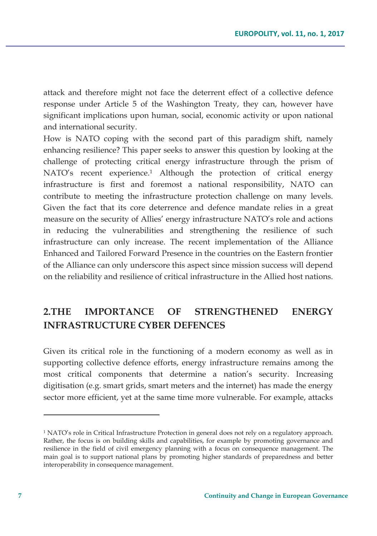attack and therefore might not face the deterrent effect of a collective defence response under Article 5 of the Washington Treaty, they can, however have significant implications upon human, social, economic activity or upon national and international security.

How is NATO coping with the second part of this paradigm shift, namely enhancing resilience? This paper seeks to answer this question by looking at the challenge of protecting critical energy infrastructure through the prism of NATO's recent experience.<sup>1</sup> Although the protection of critical energy infrastructure is first and foremost a national responsibility, NATO can contribute to meeting the infrastructure protection challenge on many levels. Given the fact that its core deterrence and defence mandate relies in a great measure on the security of Allies' energy infrastructure NATO's role and actions in reducing the vulnerabilities and strengthening the resilience of such infrastructure can only increase. The recent implementation of the Alliance Enhanced and Tailored Forward Presence in the countries on the Eastern frontier of the Alliance can only underscore this aspect since mission success will depend on the reliability and resilience of critical infrastructure in the Allied host nations.

## **2.THE IMPORTANCE OF STRENGTHENED ENERGY INFRASTRUCTURE CYBER DEFENCES**

Given its critical role in the functioning of a modern economy as well as in supporting collective defence efforts, energy infrastructure remains among the most critical components that determine a nation's security. Increasing digitisation (e.g. smart grids, smart meters and the internet) has made the energy sector more efficient, yet at the same time more vulnerable. For example, attacks

<sup>&</sup>lt;sup>1</sup> NATO's role in Critical Infrastructure Protection in general does not rely on a regulatory approach. Rather, the focus is on building skills and capabilities, for example by promoting governance and resilience in the field of civil emergency planning with a focus on consequence management. The main goal is to support national plans by promoting higher standards of preparedness and better interoperability in consequence management.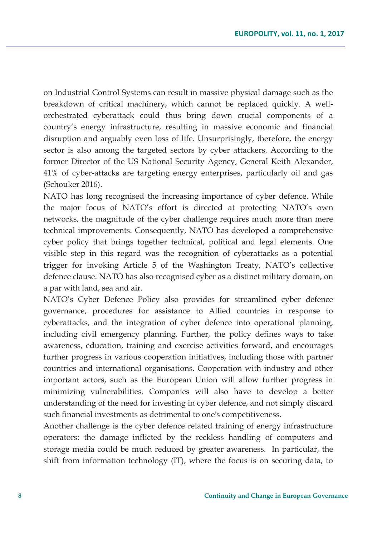on Industrial Control Systems can result in massive physical damage such as the breakdown of critical machinery, which cannot be replaced quickly. A wellorchestrated cyberattack could thus bring down crucial components of a country's energy infrastructure, resulting in massive economic and financial disruption and arguably even loss of life. Unsurprisingly, therefore, the energy sector is also among the targeted sectors by cyber attackers. According to the former Director of the US National Security Agency, General Keith Alexander, 41% of cyber-attacks are targeting energy enterprises, particularly oil and gas (Schouker 2016).

NATO has long recognised the increasing importance of cyber defence. While the major focus of NATO's effort is directed at protecting NATO's own networks, the magnitude of the cyber challenge requires much more than mere technical improvements. Consequently, NATO has developed a comprehensive cyber policy that brings together technical, political and legal elements. One visible step in this regard was the recognition of cyberattacks as a potential trigger for invoking Article 5 of the Washington Treaty, NATO's collective defence clause. NATO has also recognised cyber as a distinct military domain, on a par with land, sea and air.

NATO's Cyber Defence Policy also provides for streamlined cyber defence governance, procedures for assistance to Allied countries in response to cyberattacks, and the integration of cyber defence into operational planning, including civil emergency planning. Further, the policy defines ways to take awareness, education, training and exercise activities forward, and encourages further progress in various cooperation initiatives, including those with partner countries and international organisations. Cooperation with industry and other important actors, such as the European Union will allow further progress in minimizing vulnerabilities. Companies will also have to develop a better understanding of the need for investing in cyber defence, and not simply discard such financial investments as detrimental to one's competitiveness.

Another challenge is the cyber defence related training of energy infrastructure operators: the damage inflicted by the reckless handling of computers and storage media could be much reduced by greater awareness. In particular, the shift from information technology (IT), where the focus is on securing data, to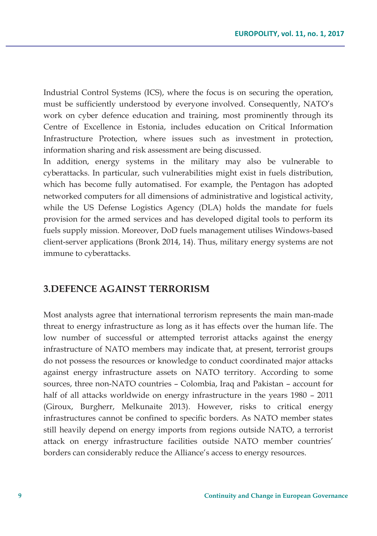Industrial Control Systems (ICS), where the focus is on securing the operation, must be sufficiently understood by everyone involved. Consequently, NATO's work on cyber defence education and training, most prominently through its Centre of Excellence in Estonia, includes education on Critical Information Infrastructure Protection, where issues such as investment in protection, information sharing and risk assessment are being discussed.

In addition, energy systems in the military may also be vulnerable to cyberattacks. In particular, such vulnerabilities might exist in fuels distribution, which has become fully automatised. For example, the Pentagon has adopted networked computers for all dimensions of administrative and logistical activity, while the US Defense Logistics Agency (DLA) holds the mandate for fuels provision for the armed services and has developed digital tools to perform its fuels supply mission. Moreover, DoD fuels management utilises Windows-based client-server applications (Bronk 2014, 14). Thus, military energy systems are not immune to cyberattacks.

### **3.DEFENCE AGAINST TERRORISM**

Most analysts agree that international terrorism represents the main man-made threat to energy infrastructure as long as it has effects over the human life. The low number of successful or attempted terrorist attacks against the energy infrastructure of NATO members may indicate that, at present, terrorist groups do not possess the resources or knowledge to conduct coordinated major attacks against energy infrastructure assets on NATO territory. According to some sources, three non-NATO countries – Colombia, Iraq and Pakistan – account for half of all attacks worldwide on energy infrastructure in the years 1980 – 2011 (Giroux, Burgherr, Melkunaite 2013). However, risks to critical energy infrastructures cannot be confined to specific borders. As NATO member states still heavily depend on energy imports from regions outside NATO, a terrorist attack on energy infrastructure facilities outside NATO member countries' borders can considerably reduce the Alliance's access to energy resources.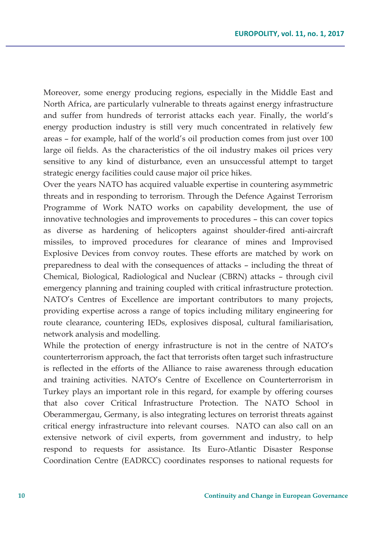Moreover, some energy producing regions, especially in the Middle East and North Africa, are particularly vulnerable to threats against energy infrastructure and suffer from hundreds of terrorist attacks each year. Finally, the world's energy production industry is still very much concentrated in relatively few areas – for example, half of the world's oil production comes from just over 100 large oil fields. As the characteristics of the oil industry makes oil prices very sensitive to any kind of disturbance, even an unsuccessful attempt to target strategic energy facilities could cause major oil price hikes.

Over the years NATO has acquired valuable expertise in countering asymmetric threats and in responding to terrorism. Through the Defence Against Terrorism Programme of Work NATO works on capability development, the use of innovative technologies and improvements to procedures – this can cover topics as diverse as hardening of helicopters against shoulder-fired anti-aircraft missiles, to improved procedures for clearance of mines and Improvised Explosive Devices from convoy routes. These efforts are matched by work on preparedness to deal with the consequences of attacks – including the threat of Chemical, Biological, Radiological and Nuclear (CBRN) attacks – through civil emergency planning and training coupled with critical infrastructure protection. NATO's Centres of Excellence are important contributors to many projects, providing expertise across a range of topics including military engineering for route clearance, countering IEDs, explosives disposal, cultural familiarisation, network analysis and modelling.

While the protection of energy infrastructure is not in the centre of NATO's counterterrorism approach, the fact that terrorists often target such infrastructure is reflected in the efforts of the Alliance to raise awareness through education and training activities. NATO's Centre of Excellence on Counterterrorism in Turkey plays an important role in this regard, for example by offering courses that also cover Critical Infrastructure Protection. The NATO School in Oberammergau, Germany, is also integrating lectures on terrorist threats against critical energy infrastructure into relevant courses. NATO can also call on an extensive network of civil experts, from government and industry, to help respond to requests for assistance. Its Euro-Atlantic Disaster Response Coordination Centre (EADRCC) coordinates responses to national requests for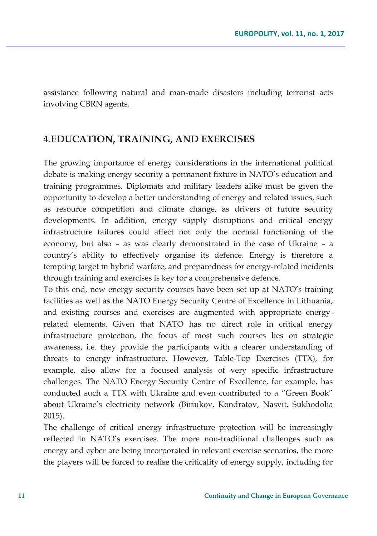assistance following natural and man-made disasters including terrorist acts involving CBRN agents.

## **4.EDUCATION, TRAINING, AND EXERCISES**

The growing importance of energy considerations in the international political debate is making energy security a permanent fixture in NATO's education and training programmes. Diplomats and military leaders alike must be given the opportunity to develop a better understanding of energy and related issues, such as resource competition and climate change, as drivers of future security developments. In addition, energy supply disruptions and critical energy infrastructure failures could affect not only the normal functioning of the economy, but also – as was clearly demonstrated in the case of Ukraine – a country's ability to effectively organise its defence. Energy is therefore a tempting target in hybrid warfare, and preparedness for energy-related incidents through training and exercises is key for a comprehensive defence.

To this end, new energy security courses have been set up at NATO's training facilities as well as the NATO Energy Security Centre of Excellence in Lithuania, and existing courses and exercises are augmented with appropriate energyrelated elements. Given that NATO has no direct role in critical energy infrastructure protection, the focus of most such courses lies on strategic awareness, i.e. they provide the participants with a clearer understanding of threats to energy infrastructure. However, Table-Top Exercises (TTX), for example, also allow for a focused analysis of very specific infrastructure challenges. The NATO Energy Security Centre of Excellence, for example, has conducted such a TTX with Ukraine and even contributed to a "Green Book" about Ukraine's electricity network (Biriukov, Kondratov, Nasvit, Sukhodolia 2015).

The challenge of critical energy infrastructure protection will be increasingly reflected in NATO's exercises. The more non-traditional challenges such as energy and cyber are being incorporated in relevant exercise scenarios, the more the players will be forced to realise the criticality of energy supply, including for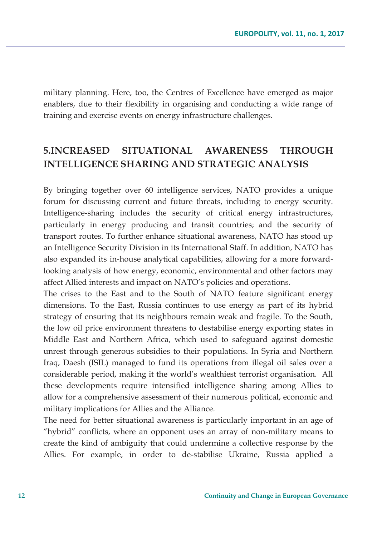military planning. Here, too, the Centres of Excellence have emerged as major enablers, due to their flexibility in organising and conducting a wide range of training and exercise events on energy infrastructure challenges.

## **5.INCREASED SITUATIONAL AWARENESS THROUGH INTELLIGENCE SHARING AND STRATEGIC ANALYSIS**

By bringing together over 60 intelligence services, NATO provides a unique forum for discussing current and future threats, including to energy security. Intelligence-sharing includes the security of critical energy infrastructures, particularly in energy producing and transit countries; and the security of transport routes. To further enhance situational awareness, NATO has stood up an Intelligence Security Division in its International Staff. In addition, NATO has also expanded its in-house analytical capabilities, allowing for a more forwardlooking analysis of how energy, economic, environmental and other factors may affect Allied interests and impact on NATO's policies and operations.

The crises to the East and to the South of NATO feature significant energy dimensions. To the East, Russia continues to use energy as part of its hybrid strategy of ensuring that its neighbours remain weak and fragile. To the South, the low oil price environment threatens to destabilise energy exporting states in Middle East and Northern Africa, which used to safeguard against domestic unrest through generous subsidies to their populations. In Syria and Northern Iraq, Daesh (ISIL) managed to fund its operations from illegal oil sales over a considerable period, making it the world's wealthiest terrorist organisation. All these developments require intensified intelligence sharing among Allies to allow for a comprehensive assessment of their numerous political, economic and military implications for Allies and the Alliance.

The need for better situational awareness is particularly important in an age of "hybrid" conflicts, where an opponent uses an array of non-military means to create the kind of ambiguity that could undermine a collective response by the Allies. For example, in order to de-stabilise Ukraine, Russia applied a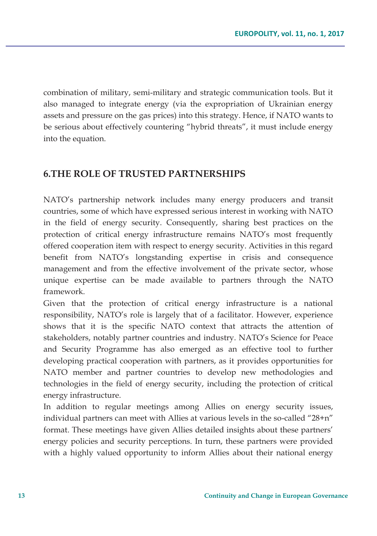combination of military, semi-military and strategic communication tools. But it also managed to integrate energy (via the expropriation of Ukrainian energy assets and pressure on the gas prices) into this strategy. Hence, if NATO wants to be serious about effectively countering "hybrid threats", it must include energy into the equation.

### **6.THE ROLE OF TRUSTED PARTNERSHIPS**

NATO's partnership network includes many energy producers and transit countries, some of which have expressed serious interest in working with NATO in the field of energy security. Consequently, sharing best practices on the protection of critical energy infrastructure remains NATO's most frequently offered cooperation item with respect to energy security. Activities in this regard benefit from NATO's longstanding expertise in crisis and consequence management and from the effective involvement of the private sector, whose unique expertise can be made available to partners through the NATO framework.

Given that the protection of critical energy infrastructure is a national responsibility, NATO's role is largely that of a facilitator. However, experience shows that it is the specific NATO context that attracts the attention of stakeholders, notably partner countries and industry. NATO's Science for Peace and Security Programme has also emerged as an effective tool to further developing practical cooperation with partners, as it provides opportunities for NATO member and partner countries to develop new methodologies and technologies in the field of energy security, including the protection of critical energy infrastructure.

In addition to regular meetings among Allies on energy security issues, individual partners can meet with Allies at various levels in the so-called "28+n" format. These meetings have given Allies detailed insights about these partners' energy policies and security perceptions. In turn, these partners were provided with a highly valued opportunity to inform Allies about their national energy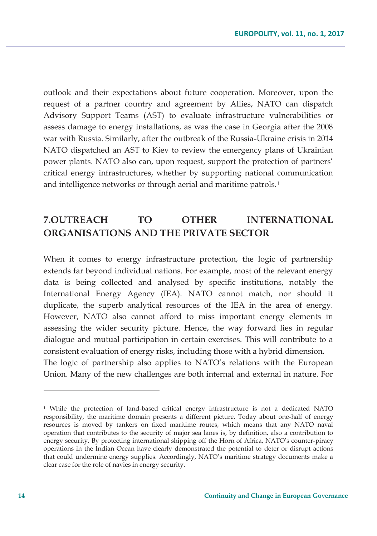outlook and their expectations about future cooperation. Moreover, upon the request of a partner country and agreement by Allies, NATO can dispatch Advisory Support Teams (AST) to evaluate infrastructure vulnerabilities or assess damage to energy installations, as was the case in Georgia after the 2008 war with Russia. Similarly, after the outbreak of the Russia-Ukraine crisis in 2014 NATO dispatched an AST to Kiev to review the emergency plans of Ukrainian power plants. NATO also can, upon request, support the protection of partners' critical energy infrastructures, whether by supporting national communication and intelligence networks or through aerial and maritime patrols.1

## **7.OUTREACH TO OTHER INTERNATIONAL ORGANISATIONS AND THE PRIVATE SECTOR**

When it comes to energy infrastructure protection, the logic of partnership extends far beyond individual nations. For example, most of the relevant energy data is being collected and analysed by specific institutions, notably the International Energy Agency (IEA). NATO cannot match, nor should it duplicate, the superb analytical resources of the IEA in the area of energy. However, NATO also cannot afford to miss important energy elements in assessing the wider security picture. Hence, the way forward lies in regular dialogue and mutual participation in certain exercises. This will contribute to a consistent evaluation of energy risks, including those with a hybrid dimension. The logic of partnership also applies to NATO's relations with the European

Union. Many of the new challenges are both internal and external in nature. For

<sup>1</sup> While the protection of land-based critical energy infrastructure is not a dedicated NATO responsibility, the maritime domain presents a different picture. Today about one-half of energy resources is moved by tankers on fixed maritime routes, which means that any NATO naval operation that contributes to the security of major sea lanes is, by definition, also a contribution to energy security. By protecting international shipping off the Horn of Africa, NATO's counter-piracy operations in the Indian Ocean have clearly demonstrated the potential to deter or disrupt actions that could undermine energy supplies. Accordingly, NATO's maritime strategy documents make a clear case for the role of navies in energy security.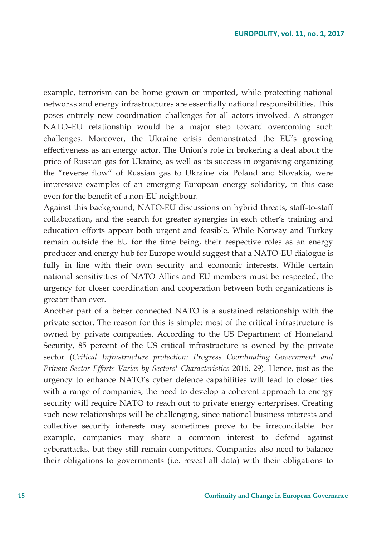example, terrorism can be home grown or imported, while protecting national networks and energy infrastructures are essentially national responsibilities. This poses entirely new coordination challenges for all actors involved. A stronger NATO–EU relationship would be a major step toward overcoming such challenges. Moreover, the Ukraine crisis demonstrated the EU's growing effectiveness as an energy actor. The Union's role in brokering a deal about the price of Russian gas for Ukraine, as well as its success in organising organizing the "reverse flow" of Russian gas to Ukraine via Poland and Slovakia, were impressive examples of an emerging European energy solidarity, in this case even for the benefit of a non-EU neighbour.

Against this background, NATO-EU discussions on hybrid threats, staff-to-staff collaboration, and the search for greater synergies in each other's training and education efforts appear both urgent and feasible. While Norway and Turkey remain outside the EU for the time being, their respective roles as an energy producer and energy hub for Europe would suggest that a NATO-EU dialogue is fully in line with their own security and economic interests. While certain national sensitivities of NATO Allies and EU members must be respected, the urgency for closer coordination and cooperation between both organizations is greater than ever.

Another part of a better connected NATO is a sustained relationship with the private sector. The reason for this is simple: most of the critical infrastructure is owned by private companies. According to the US Department of Homeland Security, 85 percent of the US critical infrastructure is owned by the private sector (*Critical Infrastructure protection: Progress Coordinating Government and Private Sector Efforts Varies by Sectors' Characteristics* 2016, 29). Hence, just as the urgency to enhance NATO's cyber defence capabilities will lead to closer ties with a range of companies, the need to develop a coherent approach to energy security will require NATO to reach out to private energy enterprises. Creating such new relationships will be challenging, since national business interests and collective security interests may sometimes prove to be irreconcilable. For example, companies may share a common interest to defend against cyberattacks, but they still remain competitors. Companies also need to balance their obligations to governments (i.e. reveal all data) with their obligations to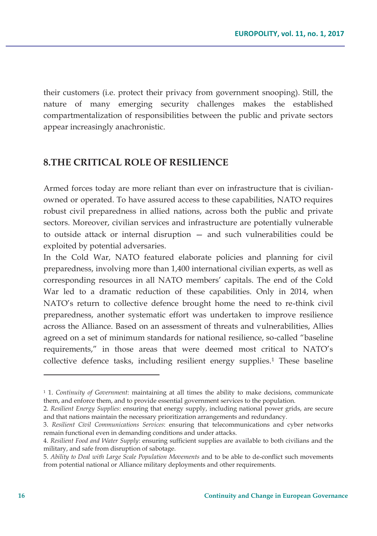their customers (i.e. protect their privacy from government snooping). Still, the nature of many emerging security challenges makes the established compartmentalization of responsibilities between the public and private sectors appear increasingly anachronistic.

#### **8.THE CRITICAL ROLE OF RESILIENCE**

Armed forces today are more reliant than ever on infrastructure that is civilianowned or operated. To have assured access to these capabilities, NATO requires robust civil preparedness in allied nations, across both the public and private sectors. Moreover, civilian services and infrastructure are potentially vulnerable to outside attack or internal disruption — and such vulnerabilities could be exploited by potential adversaries.

In the Cold War, NATO featured elaborate policies and planning for civil preparedness, involving more than 1,400 international civilian experts, as well as corresponding resources in all NATO members' capitals. The end of the Cold War led to a dramatic reduction of these capabilities. Only in 2014, when NATO's return to collective defence brought home the need to re-think civil preparedness, another systematic effort was undertaken to improve resilience across the Alliance. Based on an assessment of threats and vulnerabilities, Allies agreed on a set of minimum standards for national resilience, so-called "baseline requirements," in those areas that were deemed most critical to NATO's collective defence tasks, including resilient energy supplies.1 These baseline

<sup>1 1.</sup> *Continuity of Government*: maintaining at all times the ability to make decisions, communicate them, and enforce them, and to provide essential government services to the population.

<sup>2.</sup> *Resilient Energy Supplies*: ensuring that energy supply, including national power grids, are secure and that nations maintain the necessary prioritization arrangements and redundancy.

<sup>3.</sup> *Resilient Civil Communications Services*: ensuring that telecommunications and cyber networks remain functional even in demanding conditions and under attacks.

<sup>4.</sup> *Resilient Food and Water Supply*: ensuring sufficient supplies are available to both civilians and the military, and safe from disruption of sabotage.

<sup>5.</sup> *Ability to Deal with Large Scale Population Movements* and to be able to de-conflict such movements from potential national or Alliance military deployments and other requirements.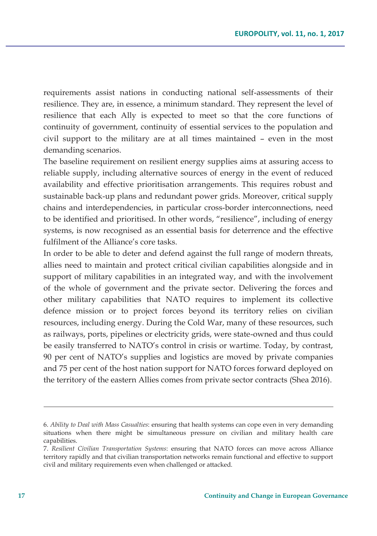requirements assist nations in conducting national self-assessments of their resilience. They are, in essence, a minimum standard. They represent the level of resilience that each Ally is expected to meet so that the core functions of continuity of government, continuity of essential services to the population and civil support to the military are at all times maintained – even in the most demanding scenarios.

The baseline requirement on resilient energy supplies aims at assuring access to reliable supply, including alternative sources of energy in the event of reduced availability and effective prioritisation arrangements. This requires robust and sustainable back-up plans and redundant power grids. Moreover, critical supply chains and interdependencies, in particular cross-border interconnections, need to be identified and prioritised. In other words, "resilience", including of energy systems, is now recognised as an essential basis for deterrence and the effective fulfilment of the Alliance's core tasks.

In order to be able to deter and defend against the full range of modern threats, allies need to maintain and protect critical civilian capabilities alongside and in support of military capabilities in an integrated way, and with the involvement of the whole of government and the private sector. Delivering the forces and other military capabilities that NATO requires to implement its collective defence mission or to project forces beyond its territory relies on civilian resources, including energy. During the Cold War, many of these resources, such as railways, ports, pipelines or electricity grids, were state-owned and thus could be easily transferred to NATO's control in crisis or wartime. Today, by contrast, 90 per cent of NATO's supplies and logistics are moved by private companies and 75 per cent of the host nation support for NATO forces forward deployed on the territory of the eastern Allies comes from private sector contracts (Shea 2016).

<sup>6.</sup> *Ability to Deal with Mass Casualties*: ensuring that health systems can cope even in very demanding situations when there might be simultaneous pressure on civilian and military health care capabilities.

<sup>7.</sup> *Resilient Civilian Transportation Systems*: ensuring that NATO forces can move across Alliance territory rapidly and that civilian transportation networks remain functional and effective to support civil and military requirements even when challenged or attacked.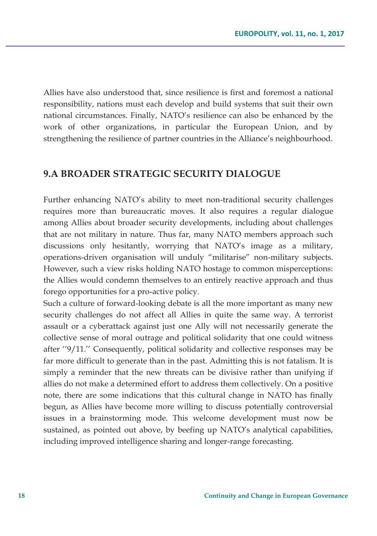Allies have also understood that, since resilience is first and foremost a national responsibility, nations must each develop and build systems that suit their own national circumstances. Finally, NATO's resilience can also be enhanced by the work of other organizations, in particular the European Union, and by strengthening the resilience of partner countries in the Alliance's neighbourhood.

#### **9.A BROADER STRATEGIC SECURITY DIALOGUE**

Further enhancing NATO's ability to meet non-traditional security challenges requires more than bureaucratic moves. It also requires a regular dialogue among Allies about broader security developments, including about challenges that are not military in nature. Thus far, many NATO members approach such discussions only hesitantly, worrying that NATO's image as a military, operations-driven organisation will unduly "militarise" non-military subjects. However, such a view risks holding NATO hostage to common misperceptions: the Allies would condemn themselves to an entirely reactive approach and thus forego opportunities for a pro-active policy.

Such a culture of forward-looking debate is all the more important as many new security challenges do not affect all Allies in quite the same way. A terrorist assault or a cyberattack against just one Ally will not necessarily generate the collective sense of moral outrage and political solidarity that one could witness after ''9/11.'' Consequently, political solidarity and collective responses may be far more difficult to generate than in the past. Admitting this is not fatalism. It is simply a reminder that the new threats can be divisive rather than unifying if allies do not make a determined effort to address them collectively. On a positive note, there are some indications that this cultural change in NATO has finally begun, as Allies have become more willing to discuss potentially controversial issues in a brainstorming mode. This welcome development must now be sustained, as pointed out above, by beefing up NATO's analytical capabilities, including improved intelligence sharing and longer-range forecasting.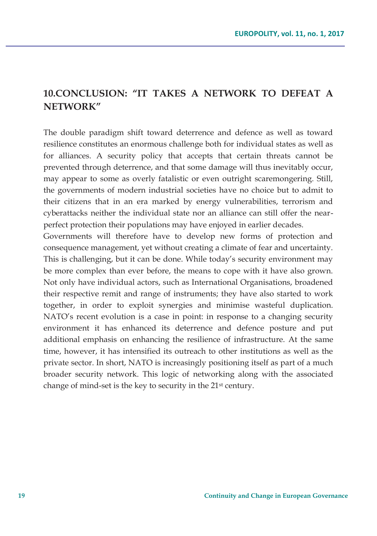## **10.CONCLUSION: "IT TAKES A NETWORK TO DEFEAT A NETWORK"**

The double paradigm shift toward deterrence and defence as well as toward resilience constitutes an enormous challenge both for individual states as well as for alliances. A security policy that accepts that certain threats cannot be prevented through deterrence, and that some damage will thus inevitably occur, may appear to some as overly fatalistic or even outright scaremongering. Still, the governments of modern industrial societies have no choice but to admit to their citizens that in an era marked by energy vulnerabilities, terrorism and cyberattacks neither the individual state nor an alliance can still offer the nearperfect protection their populations may have enjoyed in earlier decades.

Governments will therefore have to develop new forms of protection and consequence management, yet without creating a climate of fear and uncertainty. This is challenging, but it can be done. While today's security environment may be more complex than ever before, the means to cope with it have also grown. Not only have individual actors, such as International Organisations, broadened their respective remit and range of instruments; they have also started to work together, in order to exploit synergies and minimise wasteful duplication. NATO's recent evolution is a case in point: in response to a changing security environment it has enhanced its deterrence and defence posture and put additional emphasis on enhancing the resilience of infrastructure. At the same time, however, it has intensified its outreach to other institutions as well as the private sector. In short, NATO is increasingly positioning itself as part of a much broader security network. This logic of networking along with the associated change of mind-set is the key to security in the 21<sup>st</sup> century.